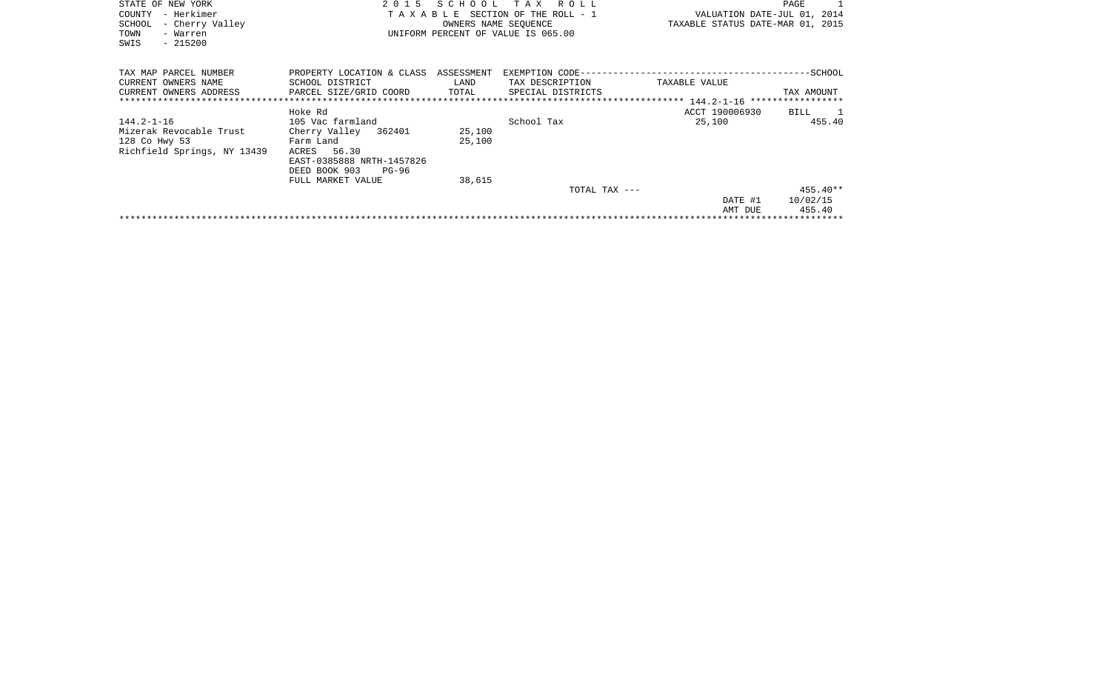| STATE OF NEW YORK<br>- Herkimer<br>COUNTY<br>SCHOOL<br>- Cherry Valley<br>TOWN<br>- Warren<br>$-215200$<br>SWIS | 2 0 1 5                                                                                                                                          | SCHOOL<br>OWNERS NAME SEOUENCE | TAX ROLL<br>TAXABLE SECTION OF THE ROLL - 1<br>UNIFORM PERCENT OF VALUE IS 065.00 | VALUATION DATE-JUL 01, 2014<br>TAXABLE STATUS DATE-MAR 01, 2015 | PAGE                             |
|-----------------------------------------------------------------------------------------------------------------|--------------------------------------------------------------------------------------------------------------------------------------------------|--------------------------------|-----------------------------------------------------------------------------------|-----------------------------------------------------------------|----------------------------------|
| TAX MAP PARCEL NUMBER<br>CURRENT OWNERS NAME<br>CURRENT OWNERS ADDRESS<br>*******************************       | PROPERTY LOCATION & CLASS ASSESSMENT<br>SCHOOL DISTRICT<br>PARCEL SIZE/GRID COORD                                                                | LAND<br>TOTAL                  | TAX DESCRIPTION<br>SPECIAL DISTRICTS                                              | TAXABLE VALUE                                                   | TAX AMOUNT                       |
|                                                                                                                 | Hoke Rd                                                                                                                                          |                                |                                                                                   | ACCT 190006930                                                  | BILL 1                           |
| 144.2-1-16<br>Mizerak Revocable Trust<br>128 Co Hwy 53<br>Richfield Springs, NY 13439                           | 105 Vac farmland<br>Cherry Valley 362401<br>Farm Land<br>ACRES 56.30<br>EAST-0385888 NRTH-1457826<br>DEED BOOK 903<br>PG-96<br>FULL MARKET VALUE | 25,100<br>25,100<br>38,615     | School Tax                                                                        | 25,100                                                          | 455.40                           |
|                                                                                                                 |                                                                                                                                                  |                                | TOTAL TAX ---                                                                     | DATE #1<br>AMT DUE                                              | $455.40**$<br>10/02/15<br>455.40 |
|                                                                                                                 |                                                                                                                                                  |                                |                                                                                   |                                                                 |                                  |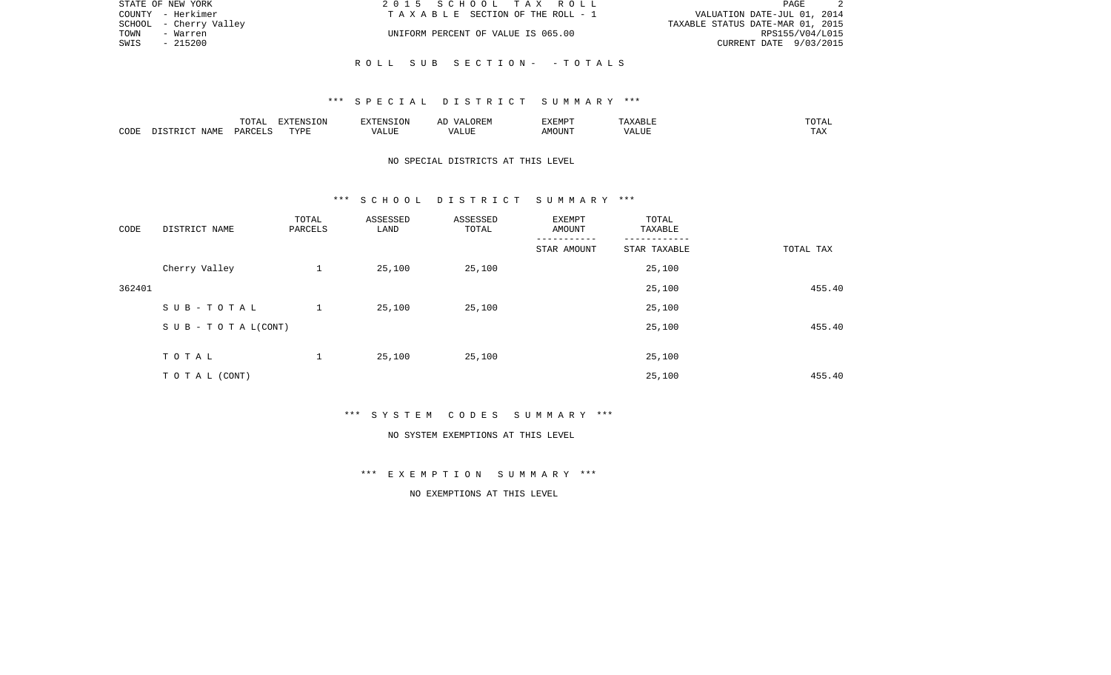| STATE OF NEW YORK      | 2015 SCHOOL TAX ROLL               | PAGE                             |
|------------------------|------------------------------------|----------------------------------|
| COUNTY - Herkimer      | TAXABLE SECTION OF THE ROLL - 1    | VALUATION DATE-JUL 01, 2014      |
| SCHOOL - Cherry Valley |                                    | TAXABLE STATUS DATE-MAR 01, 2015 |
| TOWN<br>- Warren       | UNIFORM PERCENT OF VALUE IS 065.00 | RPS155/V04/L015                  |
| - 215200<br>SWIS       |                                    | CURRENT DATE 9/03/2015           |
|                        |                                    |                                  |
|                        | ROLL SUB SECTION- -TOTALS          |                                  |

|      |      | .<br>TUTAL         | <b>AYTRNCT</b> |          | ▵ | TXEMPT |               | $\cdot$ $\mathbf{A}$ $^{\circ}$<br>---- |
|------|------|--------------------|----------------|----------|---|--------|---------------|-----------------------------------------|
| CODE | IAMF | $\sqrt{1}$<br>DAW' | TVDF<br>.      | $\cdots$ |   | DUN    | - --<br>'ALUL | ---<br>. A 4                            |

## NO SPECIAL DISTRICTS AT THIS LEVEL

#### \*\*\* S C H O O L D I S T R I C T S U M M A R Y \*\*\*

| CODE   | DISTRICT NAME                    | TOTAL<br>PARCELS | ASSESSED<br>LAND | ASSESSED<br>TOTAL | EXEMPT<br>AMOUNT | TOTAL<br>TAXABLE |           |
|--------|----------------------------------|------------------|------------------|-------------------|------------------|------------------|-----------|
|        |                                  |                  |                  |                   | STAR AMOUNT      | STAR TAXABLE     | TOTAL TAX |
|        | Cherry Valley                    | $\mathbf{1}$     | 25,100           | 25,100            |                  | 25,100           |           |
| 362401 |                                  |                  |                  |                   |                  | 25,100           | 455.40    |
|        | SUB-TOTAL                        | $\mathbf{1}$     | 25,100           | 25,100            |                  | 25,100           |           |
|        | $S \cup B - T \cup T A L (CONT)$ |                  |                  |                   |                  | 25,100           | 455.40    |
|        |                                  |                  |                  |                   |                  |                  |           |
|        | TOTAL                            | $\mathbf{1}$     | 25,100           | 25,100            |                  | 25,100           |           |
|        | TO TAL (CONT)                    |                  |                  |                   |                  | 25,100           | 455.40    |

\*\*\* S Y S T E M C O D E S S U M M A R Y \*\*\*

#### NO SYSTEM EXEMPTIONS AT THIS LEVEL

\*\*\* E X E M P T I O N S U M M A R Y \*\*\*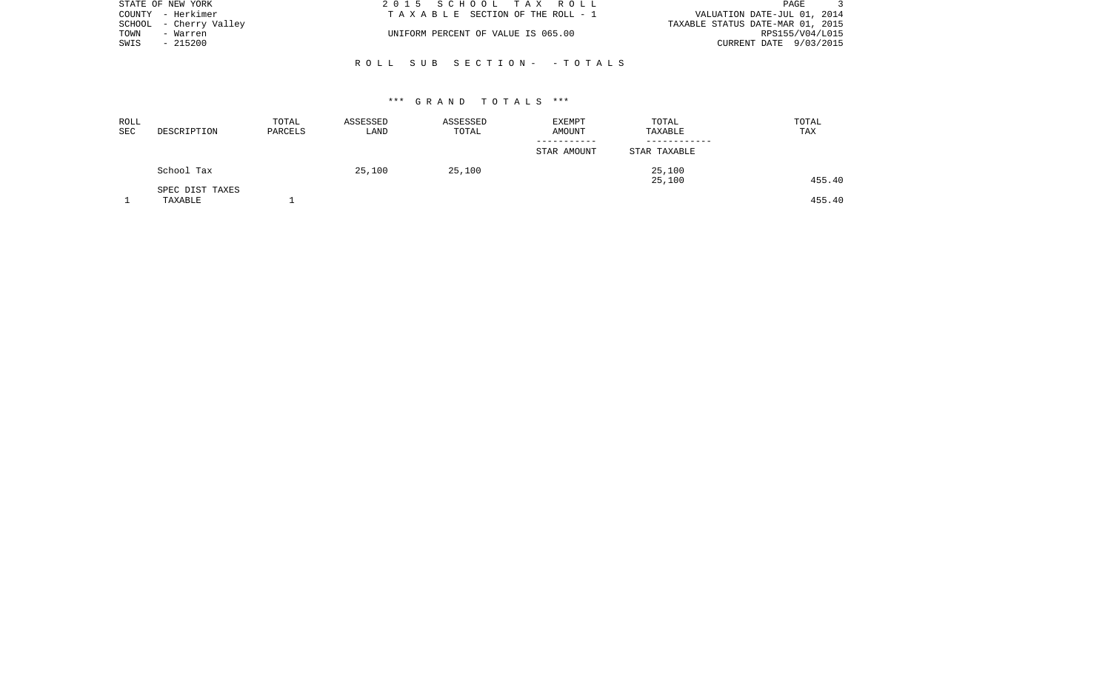| STATE OF NEW YORK      | 2015 SCHOOL TAX ROLL               | PAGE                             |
|------------------------|------------------------------------|----------------------------------|
| COUNTY - Herkimer      | TAXABLE SECTION OF THE ROLL - 1    | VALUATION DATE-JUL 01, 2014      |
| SCHOOL - Cherry Valley |                                    | TAXABLE STATUS DATE-MAR 01, 2015 |
| TOWN<br>- Warren       | UNIFORM PERCENT OF VALUE IS 065.00 | RPS155/V04/L015                  |
| SWIS<br>- 215200       |                                    | CURRENT DATE 9/03/2015           |
|                        |                                    |                                  |

R O L L S U B S E C T I O N - - T O T A L S

| ROLL<br><b>SEC</b> | DESCRIPTION                | TOTAL<br>PARCELS | ASSESSED<br>LAND | ASSESSED<br>TOTAL | <b>EXEMPT</b><br>AMOUNT | TOTAL<br>TAXABLE | TOTAL<br>TAX |
|--------------------|----------------------------|------------------|------------------|-------------------|-------------------------|------------------|--------------|
|                    |                            |                  |                  |                   | STAR AMOUNT             | STAR TAXABLE     |              |
|                    | School Tax                 |                  | 25,100           | 25,100            |                         | 25,100<br>25,100 | 455.40       |
|                    | SPEC DIST TAXES<br>TAXABLE |                  |                  |                   |                         |                  | 455.40       |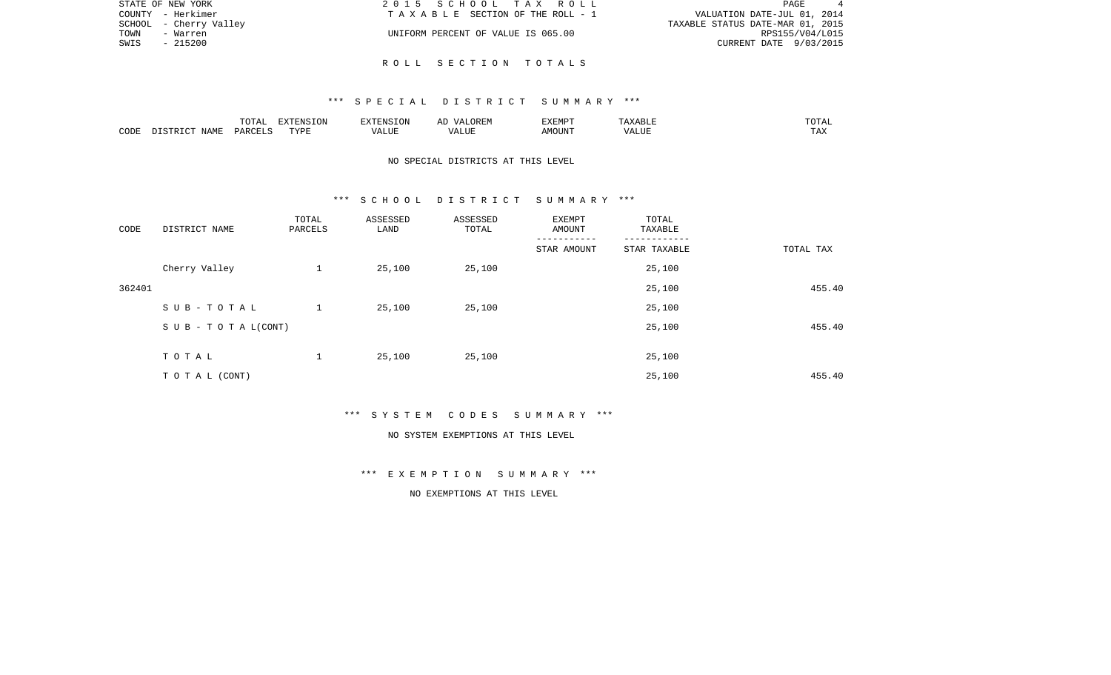| STATE OF NEW YORK      | 2015 SCHOOL TAX ROLL               | PAGE                             |  |
|------------------------|------------------------------------|----------------------------------|--|
| COUNTY - Herkimer      | TAXABLE SECTION OF THE ROLL - 1    | VALUATION DATE-JUL 01, 2014      |  |
| SCHOOL - Cherry Valley |                                    | TAXABLE STATUS DATE-MAR 01, 2015 |  |
| TOWN<br>- Warren       | UNIFORM PERCENT OF VALUE IS 065.00 | RPS155/V04/L015                  |  |
| SWIS<br>$-215200$      |                                    | CURRENT DATE 9/03/2015           |  |
|                        |                                    |                                  |  |

R O L L S E C T I O N T O T A L S

|      |      | .<br>$^{\prime}$<br>. U I A | סוותחצת<br>'ON   |       | 7REM              | F.XFMP'<br>تلخكت | .                   |                     |
|------|------|-----------------------------|------------------|-------|-------------------|------------------|---------------------|---------------------|
| CODE | IAME | DARCELS                     | <b>TRIA</b><br>. | VALUE | LUE<br>$\sqrt{ }$ | MOUN'            | 77T<br>ALU <i>r</i> | <b>TRV</b><br>⊥ டு∡ |

## NO SPECIAL DISTRICTS AT THIS LEVEL

#### \*\*\* S C H O O L D I S T R I C T S U M M A R Y \*\*\*

| CODE   | DISTRICT NAME                    | TOTAL<br>PARCELS | ASSESSED<br>LAND | ASSESSED<br>TOTAL | EXEMPT<br>AMOUNT | TOTAL<br>TAXABLE |           |
|--------|----------------------------------|------------------|------------------|-------------------|------------------|------------------|-----------|
|        |                                  |                  |                  |                   | STAR AMOUNT      | STAR TAXABLE     | TOTAL TAX |
|        | Cherry Valley                    | $\mathbf{1}$     | 25,100           | 25,100            |                  | 25,100           |           |
| 362401 |                                  |                  |                  |                   |                  | 25,100           | 455.40    |
|        | SUB-TOTAL                        | $\mathbf{1}$     | 25,100           | 25,100            |                  | 25,100           |           |
|        | $S \cup B - T \cup T A L (CONT)$ |                  |                  |                   |                  | 25,100           | 455.40    |
|        |                                  |                  |                  |                   |                  |                  |           |
|        | TOTAL                            | $\mathbf{1}$     | 25,100           | 25,100            |                  | 25,100           |           |
|        | TO TAL (CONT)                    |                  |                  |                   |                  | 25,100           | 455.40    |

\*\*\* S Y S T E M C O D E S S U M M A R Y \*\*\*

#### NO SYSTEM EXEMPTIONS AT THIS LEVEL

\*\*\* E X E M P T I O N S U M M A R Y \*\*\*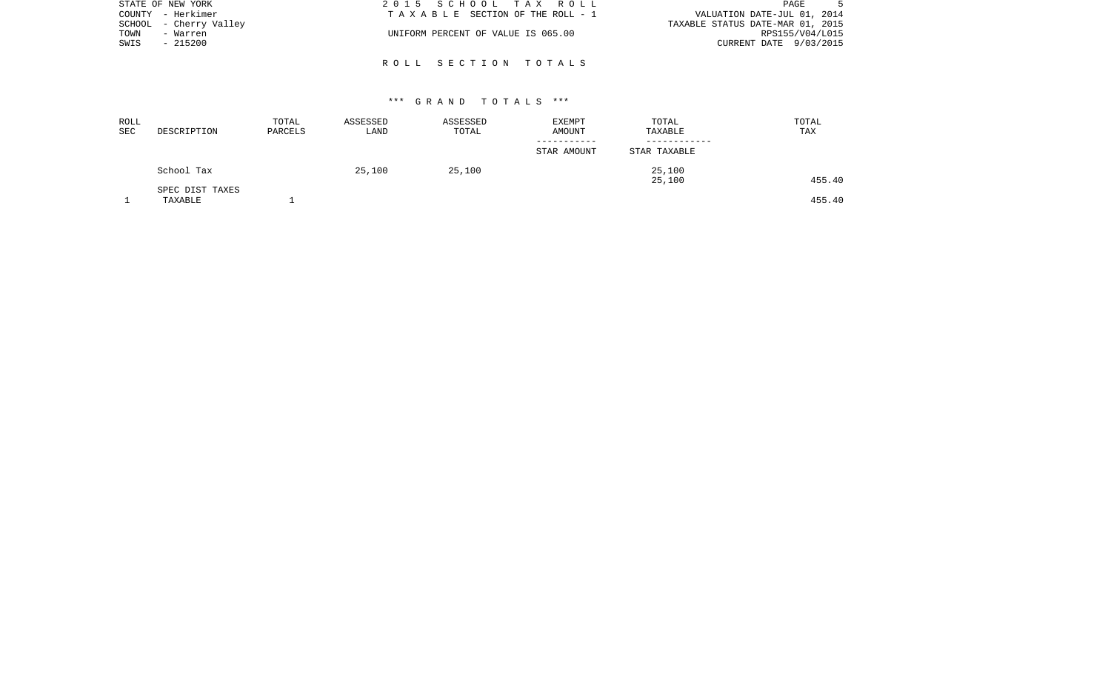| STATE OF NEW YORK      | 2015 SCHOOL TAX ROLL               | PAGE                             |
|------------------------|------------------------------------|----------------------------------|
| COUNTY - Herkimer      | TAXABLE SECTION OF THE ROLL - 1    | VALUATION DATE-JUL 01, 2014      |
| SCHOOL - Cherry Valley |                                    | TAXABLE STATUS DATE-MAR 01, 2015 |
| TOWN<br>- Warren       | UNIFORM PERCENT OF VALUE IS 065.00 | RPS155/V04/L015                  |
| SWIS<br>$-215200$      |                                    | CURRENT DATE 9/03/2015           |
|                        |                                    |                                  |

R O L L S E C T I O N T O T A L S

| ROLL<br><b>SEC</b> | DESCRIPTION                | TOTAL<br>PARCELS | ASSESSED<br>LAND | ASSESSED<br>TOTAL | EXEMPT<br>AMOUNT | TOTAL<br>TAXABLE | TOTAL<br>TAX |
|--------------------|----------------------------|------------------|------------------|-------------------|------------------|------------------|--------------|
|                    |                            |                  |                  |                   | STAR AMOUNT      | STAR TAXABLE     |              |
|                    | School Tax                 |                  | 25,100           | 25,100            |                  | 25,100<br>25,100 | 455.40       |
|                    | SPEC DIST TAXES<br>TAXABLE |                  |                  |                   |                  |                  | 455.40       |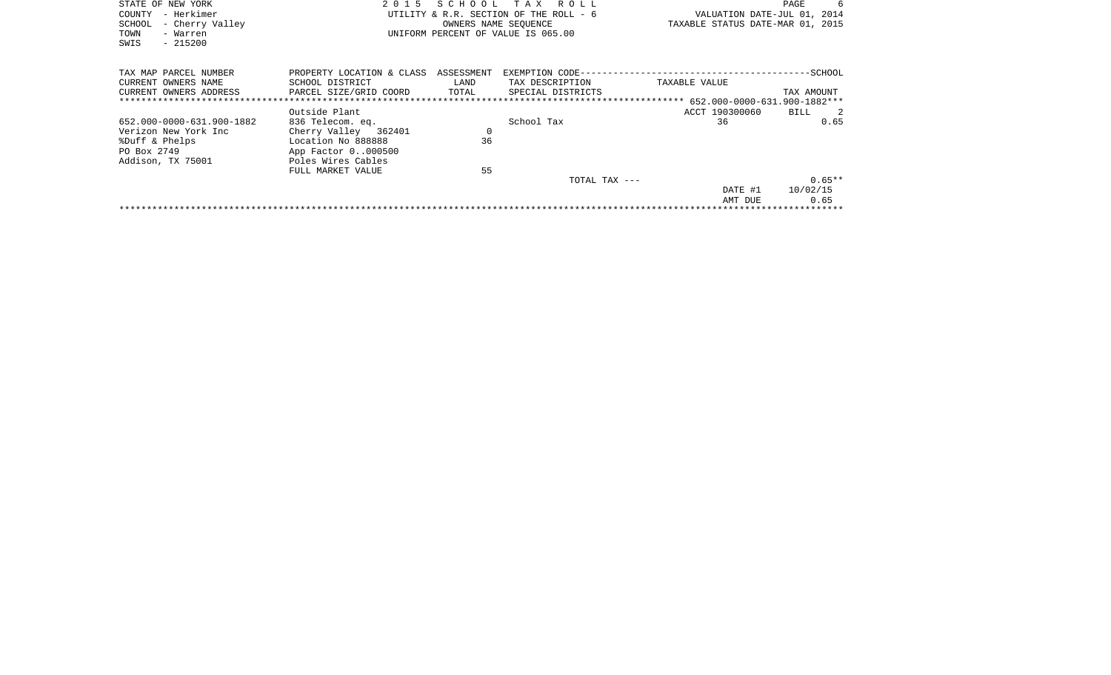| STATE OF NEW YORK<br>- Herkimer<br>COUNTY<br>SCHOOL<br>- Cherry Valley<br>TOWN<br>- Warren<br>$-215200$<br>SWIS | 2 0 1 5                                                                                                                                          |                      | SCHOOL TAX ROLL<br>UTILITY & R.R. SECTION OF THE ROLL - 6<br>OWNERS NAME SEOUENCE<br>UNIFORM PERCENT OF VALUE IS 065.00 | VALUATION DATE-JUL 01, 2014<br>TAXABLE STATUS DATE-MAR 01, 2015 | - 6<br>PAGE                                |
|-----------------------------------------------------------------------------------------------------------------|--------------------------------------------------------------------------------------------------------------------------------------------------|----------------------|-------------------------------------------------------------------------------------------------------------------------|-----------------------------------------------------------------|--------------------------------------------|
| TAX MAP PARCEL NUMBER<br>CURRENT OWNERS NAME<br>CURRENT OWNERS ADDRESS                                          | PROPERTY LOCATION & CLASS ASSESSMENT<br>SCHOOL DISTRICT<br>PARCEL SIZE/GRID COORD                                                                | LAND<br>TOTAL        | TAX DESCRIPTION<br>SPECIAL DISTRICTS                                                                                    | TAXABLE VALUE                                                   | TAX AMOUNT                                 |
|                                                                                                                 |                                                                                                                                                  |                      |                                                                                                                         |                                                                 |                                            |
| 652.000-0000-631.900-1882<br>Verizon New York Inc<br>%Duff & Phelps<br>PO Box 2749<br>Addison, TX 75001         | Outside Plant<br>836 Telecom. eq.<br>Cherry Valley 362401<br>Location No 888888<br>App Factor 0000500<br>Poles Wires Cables<br>FULL MARKET VALUE | $\Omega$<br>36<br>55 | School Tax                                                                                                              | ACCT 190300060<br>36                                            | BILL<br>$\overline{\phantom{0}}^2$<br>0.65 |
|                                                                                                                 |                                                                                                                                                  |                      | TOTAL TAX ---                                                                                                           | DATE #1<br>AMT DUE                                              | $0.65**$<br>10/02/15<br>0.65               |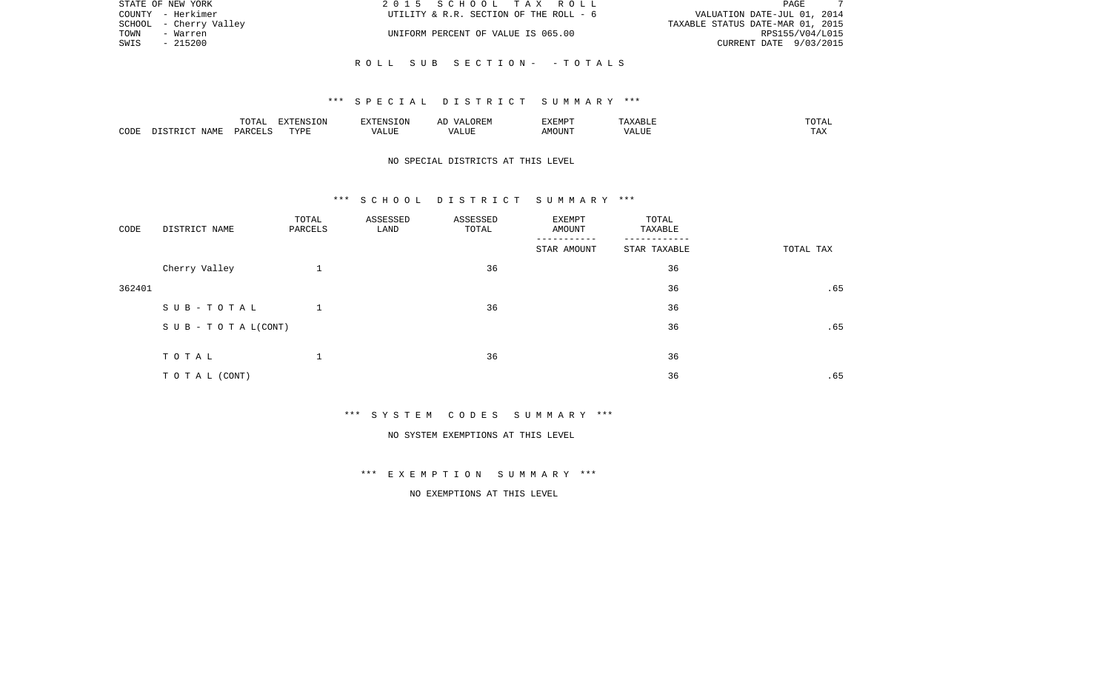| STATE OF NEW YORK      | 2015 SCHOOL TAX ROLL                   | PAGE                             |
|------------------------|----------------------------------------|----------------------------------|
| COUNTY - Herkimer      | UTILITY & R.R. SECTION OF THE ROLL - 6 | VALUATION DATE-JUL 01, 2014      |
| SCHOOL - Cherry Valley |                                        | TAXABLE STATUS DATE-MAR 01, 2015 |
| TOWN<br>- Warren       | UNIFORM PERCENT OF VALUE IS 065.00     | RPS155/V04/L015                  |
| SWIS<br>- 215200       |                                        | CURRENT DATE 9/03/2015           |
|                        |                                        |                                  |
|                        | ROLL SUB SECTION- -TOTALS              |                                  |

|      |      | <b><u>noma</u></b><br>- 777 | - \ JIN          | a' Nisi   | 17 L<br><del></del> | <b>EXEMP1</b> |                             | ◡▴▱                   |
|------|------|-----------------------------|------------------|-----------|---------------------|---------------|-----------------------------|-----------------------|
| CODE | NAME | י א ב⊂                      | <b>TVD'</b><br>. | . L I U P |                     | 5.5077377     | <br>` /  Д .<br><b>ALUF</b> | <b>TRA</b><br>- - - - |

## NO SPECIAL DISTRICTS AT THIS LEVEL

#### \*\*\* S C H O O L D I S T R I C T S U M M A R Y \*\*\*

| CODE   | DISTRICT NAME                    | TOTAL<br>PARCELS | ASSESSED<br>LAND | ASSESSED<br>TOTAL | EXEMPT<br>AMOUNT | TOTAL<br>TAXABLE |           |
|--------|----------------------------------|------------------|------------------|-------------------|------------------|------------------|-----------|
|        |                                  |                  |                  |                   | STAR AMOUNT      | STAR TAXABLE     | TOTAL TAX |
|        | Cherry Valley                    |                  |                  | 36                |                  | 36               |           |
| 362401 |                                  |                  |                  |                   |                  | 36               | .65       |
|        | SUB-TOTAL                        |                  |                  | 36                |                  | 36               |           |
|        | $S \cup B - T \cup T A L (CONT)$ |                  |                  |                   |                  | 36               | .65       |
|        |                                  |                  |                  |                   |                  |                  |           |
|        | TOTAL                            | $\mathbf 1$      |                  | 36                |                  | 36               |           |
|        | TO TAL (CONT)                    |                  |                  |                   |                  | 36               | .65       |

\*\*\* S Y S T E M C O D E S S U M M A R Y \*\*\*

NO SYSTEM EXEMPTIONS AT THIS LEVEL

\*\*\* E X E M P T I O N S U M M A R Y \*\*\*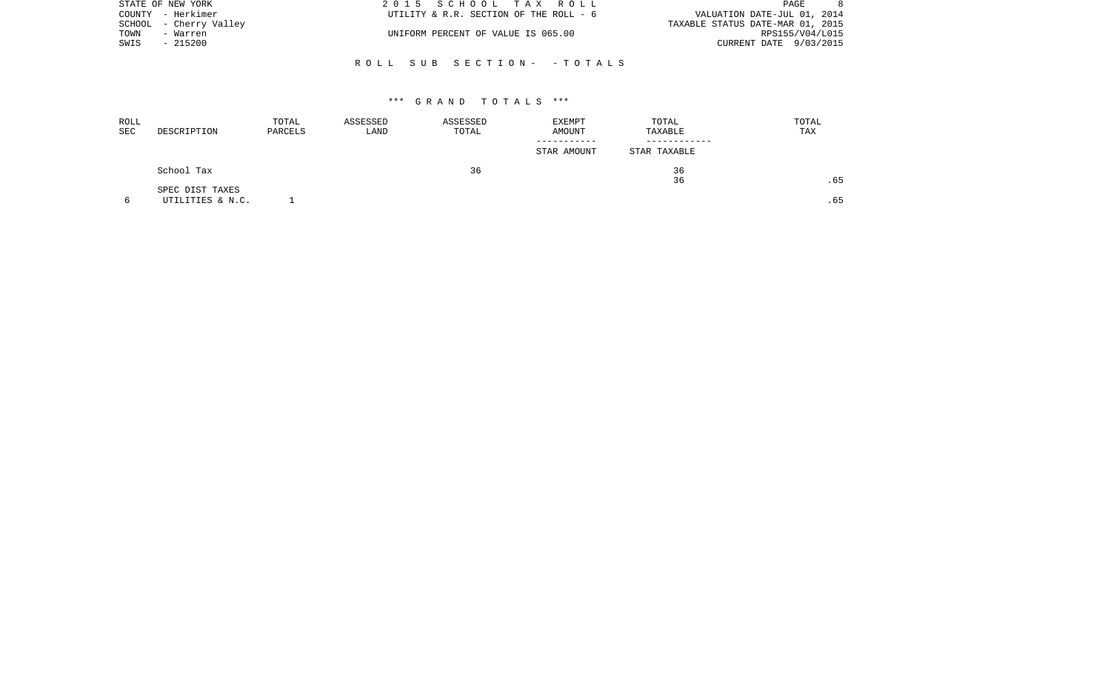| STATE OF NEW YORK      | 2015 SCHOOL TAX ROLL                   | PAGE                             |
|------------------------|----------------------------------------|----------------------------------|
| COUNTY - Herkimer      | UTILITY & R.R. SECTION OF THE ROLL - 6 | VALUATION DATE-JUL 01, 2014      |
| SCHOOL - Cherry Valley |                                        | TAXABLE STATUS DATE-MAR 01, 2015 |
| TOWN<br>- Warren       | UNIFORM PERCENT OF VALUE IS 065.00     | RPS155/V04/L015                  |
| - 215200<br>SWIS       |                                        | CURRENT DATE 9/03/2015           |
|                        |                                        |                                  |

R O L L S U B S E C T I O N - - T O T A L S

| ROLL<br>SEC | DESCRIPTION      | TOTAL<br>PARCELS | ASSESSED<br>LAND | ASSESSED<br>TOTAL | EXEMPT<br>AMOUNT | TOTAL<br>TAXABLE | TOTAL<br>TAX |
|-------------|------------------|------------------|------------------|-------------------|------------------|------------------|--------------|
|             |                  |                  |                  |                   | STAR AMOUNT      | STAR TAXABLE     |              |
|             | School Tax       |                  |                  | 36                |                  | 36<br>36         | .65          |
|             | SPEC DIST TAXES  |                  |                  |                   |                  |                  |              |
|             | UTILITIES & N.C. |                  |                  |                   |                  |                  | .65          |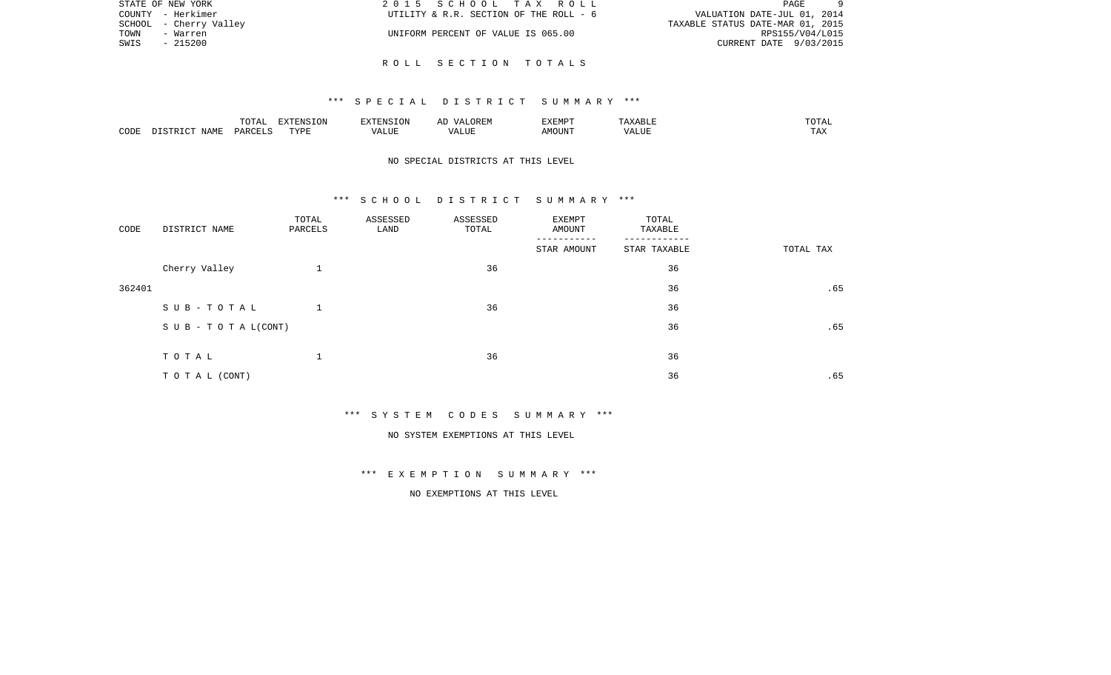| STATE OF NEW YORK      | 2015 SCHOOL TAX ROLL                   | PAGE                             |
|------------------------|----------------------------------------|----------------------------------|
| COUNTY - Herkimer      | UTILITY & R.R. SECTION OF THE ROLL - 6 | VALUATION DATE-JUL 01, 2014      |
| SCHOOL - Cherry Valley |                                        | TAXABLE STATUS DATE-MAR 01, 2015 |
| TOWN<br>- Warren       | UNIFORM PERCENT OF VALUE IS 065.00     | RPS155/V04/L015                  |
| SWIS<br>$-215200$      |                                        | CURRENT DATE 9/03/2015           |
|                        |                                        |                                  |

R O L L S E C T I O N T O T A L S

|      |      | $m \wedge m \wedge n$<br>TATAT | <b>STAZED</b> T.<br>ENSION |      | AD<br><i>. ⊔</i>      | <b>EXEMPT</b>      | <b>YABLE</b> | ۰Δ.<br>1017        |
|------|------|--------------------------------|----------------------------|------|-----------------------|--------------------|--------------|--------------------|
| CODE | NAMF | PARCELS                        | TVDF<br>.                  | ALUF | $T$ , $T$ , $T$ , $T$ | AMOUN <sup>T</sup> | VALUE        | $m \times r$<br>∸⊷ |

\*\*\* S P E C I A L D I S T R I C T S U M M A R Y \*\*\*

## NO SPECIAL DISTRICTS AT THIS LEVEL

#### \*\*\* S C H O O L D I S T R I C T S U M M A R Y \*\*\*

| CODE   | DISTRICT NAME                    | TOTAL<br>PARCELS | ASSESSED<br>LAND | ASSESSED<br>TOTAL | EXEMPT<br>AMOUNT | TOTAL<br>TAXABLE |           |
|--------|----------------------------------|------------------|------------------|-------------------|------------------|------------------|-----------|
|        |                                  |                  |                  |                   | STAR AMOUNT      | STAR TAXABLE     | TOTAL TAX |
|        | Cherry Valley                    | $\mathbf{1}$     |                  | 36                |                  | 36               |           |
| 362401 |                                  |                  |                  |                   |                  | 36               | .65       |
|        | SUB-TOTAL                        | $\mathbf{1}$     |                  | 36                |                  | 36               |           |
|        | $S \cup B - T \cup T A L (CONT)$ |                  |                  |                   |                  | 36               | .65       |
|        |                                  |                  |                  |                   |                  |                  |           |
|        | TOTAL                            | 1                |                  | 36                |                  | 36               |           |
|        | TO TAL (CONT)                    |                  |                  |                   |                  | 36               | .65       |

\*\*\* S Y S T E M C O D E S S U M M A R Y \*\*\*

NO SYSTEM EXEMPTIONS AT THIS LEVEL

\*\*\* E X E M P T I O N S U M M A R Y \*\*\*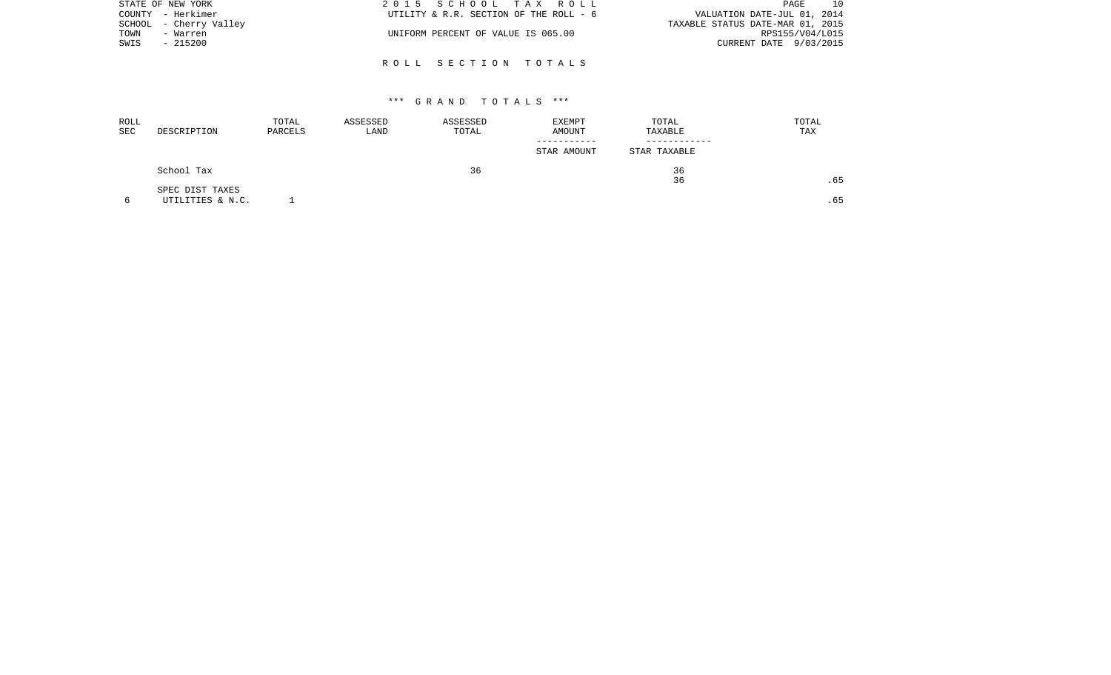| STATE OF NEW YORK      | 2015 SCHOOL TAX ROLL                   | 10<br>PAGE                       |
|------------------------|----------------------------------------|----------------------------------|
| COUNTY - Herkimer      | UTILITY & R.R. SECTION OF THE ROLL - 6 | VALUATION DATE-JUL 01, 2014      |
| SCHOOL - Cherry Valley |                                        | TAXABLE STATUS DATE-MAR 01, 2015 |
| TOWN<br>- Warren       | UNIFORM PERCENT OF VALUE IS 065.00     | RPS155/V04/L015                  |
| - 215200<br>SWIS       |                                        | CURRENT DATE 9/03/2015           |
|                        |                                        |                                  |

R O L L S E C T I O N T O T A L S

| ROLL<br>SEC | DESCRIPTION                         | TOTAL<br>PARCELS | ASSESSED<br>LAND | ASSESSED<br>TOTAL | EXEMPT<br>AMOUNT | TOTAL<br>TAXABLE | TOTAL<br>TAX |
|-------------|-------------------------------------|------------------|------------------|-------------------|------------------|------------------|--------------|
|             |                                     |                  |                  |                   | STAR AMOUNT      | STAR TAXABLE     |              |
|             | School Tax                          |                  |                  | 36                |                  | 36<br>36         | .65          |
|             | SPEC DIST TAXES<br>UTILITIES & N.C. |                  |                  |                   |                  |                  | .65          |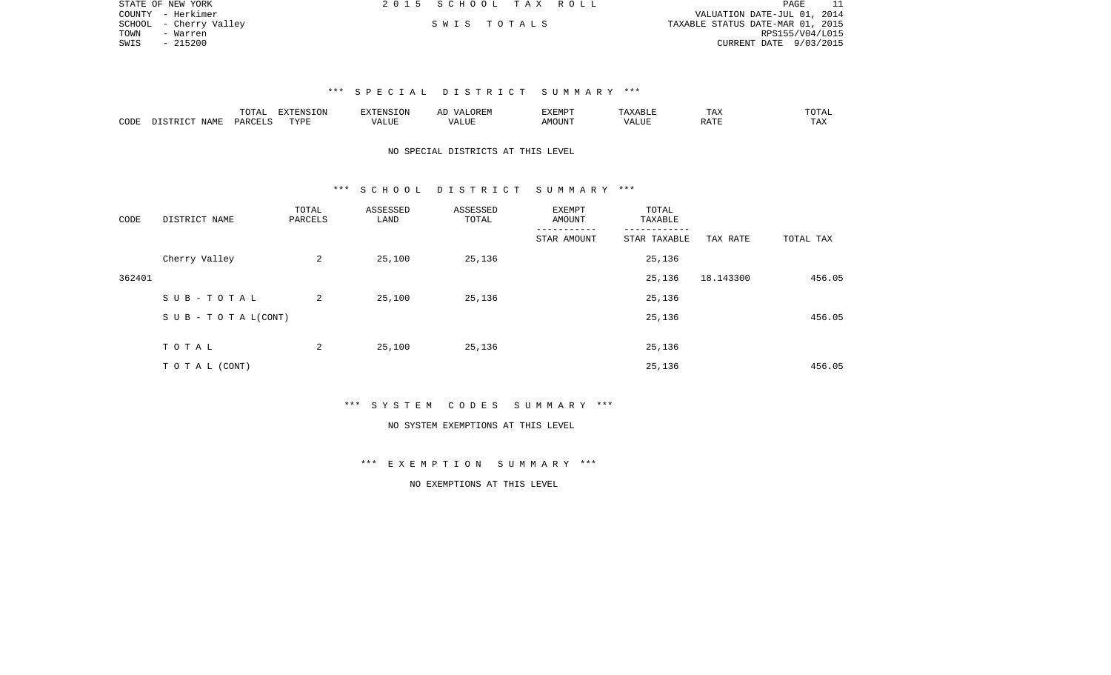|      | STATE OF NEW YORK      | 2015 SCHOOL TAX ROLL |             |  |                                  |                        | PAGE | 11 |
|------|------------------------|----------------------|-------------|--|----------------------------------|------------------------|------|----|
|      | COUNTY - Herkimer      |                      |             |  | VALUATION DATE-JUL 01, 2014      |                        |      |    |
|      | SCHOOL - Cherry Valley |                      | SWIS TOTALS |  | TAXABLE STATUS DATE-MAR 01, 2015 |                        |      |    |
| TOWN | - Warren               |                      |             |  |                                  | RPS155/V04/L015        |      |    |
| SWIS | - 215200               |                      |             |  |                                  | CURRENT DATE 9/03/2015 |      |    |
|      |                        |                      |             |  |                                  |                        |      |    |

|      |       | $n \cap m \neq n$ | <b>EXTENSION</b> | 'ENSION                     | AL.   | <b>XEMPT</b><br>. A BILLE | ⊥AA        | TOTA. |
|------|-------|-------------------|------------------|-----------------------------|-------|---------------------------|------------|-------|
| CODE | NAMF. | PARCEI            | <b>TVDF</b>      | $- - - -$<br>`/ Д<br>יש בבי | ″∪⊔د. | OUNT                      | <b>DAT</b> | TAX   |

## NO SPECIAL DISTRICTS AT THIS LEVEL

#### \*\*\* S C H O O L D I S T R I C T S U M M A R Y \*\*\*

| CODE   | DISTRICT NAME             | TOTAL<br>PARCELS | ASSESSED<br>LAND | ASSESSED<br>TOTAL | <b>EXEMPT</b><br>AMOUNT | TOTAL<br>TAXABLE |           |           |
|--------|---------------------------|------------------|------------------|-------------------|-------------------------|------------------|-----------|-----------|
|        |                           |                  |                  |                   | STAR AMOUNT             | STAR TAXABLE     | TAX RATE  | TOTAL TAX |
|        | Cherry Valley             | 2                | 25,100           | 25,136            |                         | 25,136           |           |           |
| 362401 |                           |                  |                  |                   |                         | 25,136           | 18.143300 | 456.05    |
|        | SUB-TOTAL                 | 2                | 25,100           | 25,136            |                         | 25,136           |           |           |
|        | S U B - T O T A $L(CONT)$ |                  |                  |                   |                         | 25,136           |           | 456.05    |
|        | TOTAL                     | 2                | 25,100           | 25,136            |                         | 25,136           |           |           |
|        |                           |                  |                  |                   |                         |                  |           |           |
|        | TO TAL (CONT)             |                  |                  |                   |                         | 25,136           |           | 456.05    |

#### \*\*\* S Y S T E M C O D E S S U M M A R Y \*\*\*

#### NO SYSTEM EXEMPTIONS AT THIS LEVEL

## \*\*\* E X E M P T I O N S U M M A R Y \*\*\*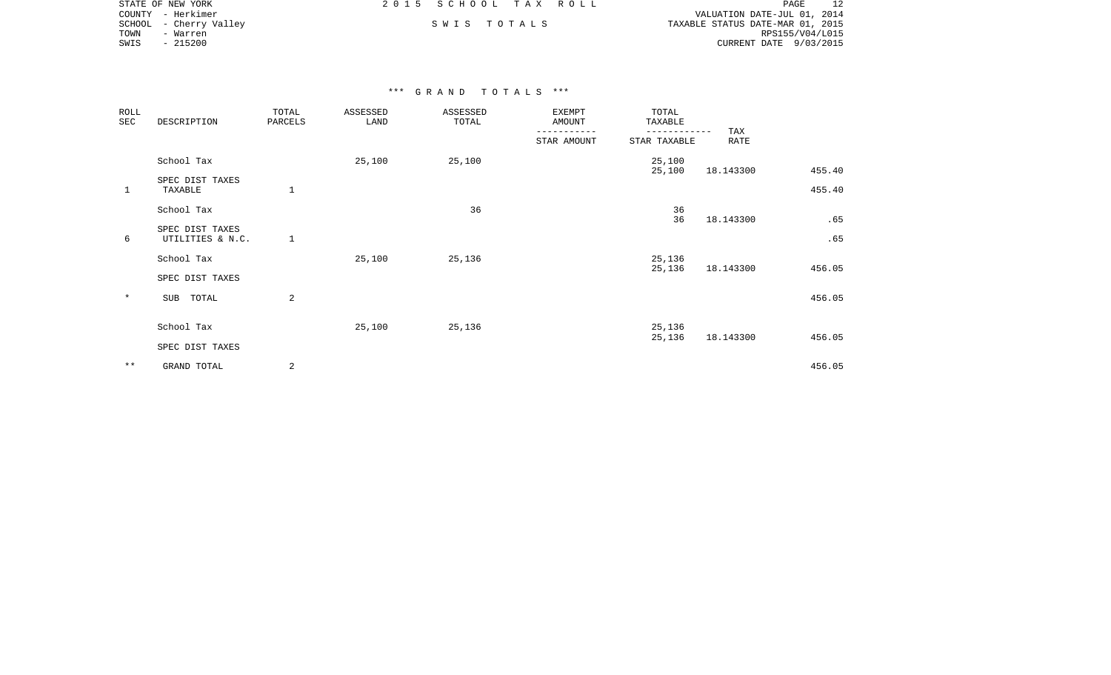|        | STATE OF NEW YORK | 2015 SCHOOL TAX ROLL |             |  | PAGE                             |
|--------|-------------------|----------------------|-------------|--|----------------------------------|
|        | COUNTY - Herkimer |                      |             |  | VALUATION DATE-JUL 01, 2014      |
| SCHOOL | - Cherry Valley   |                      | SWIS TOTALS |  | TAXABLE STATUS DATE-MAR 01, 2015 |
| TOWN   | - Warren          |                      |             |  | RPS155/V04/L015                  |
| SWIS   | $-215200$         |                      |             |  | CURRENT DATE 9/03/2015           |
|        |                   |                      |             |  |                                  |

| ROLL<br>SEC  | DESCRIPTION                         | TOTAL<br>PARCELS | ASSESSED<br>LAND | ASSESSED<br>TOTAL | <b>EXEMPT</b><br>AMOUNT | TOTAL<br>TAXABLE |             |            |
|--------------|-------------------------------------|------------------|------------------|-------------------|-------------------------|------------------|-------------|------------|
|              |                                     |                  |                  |                   | STAR AMOUNT             | STAR TAXABLE     | TAX<br>RATE |            |
|              | School Tax                          |                  | 25,100           | 25,100            |                         | 25,100<br>25,100 | 18.143300   | 455.40     |
| $\mathbf{1}$ | SPEC DIST TAXES<br>TAXABLE          |                  |                  |                   |                         |                  |             | 455.40     |
|              | School Tax                          |                  |                  | 36                |                         | 36               |             |            |
| 6            | SPEC DIST TAXES<br>UTILITIES & N.C. | $\mathbf{1}$     |                  |                   |                         | 36               | 18.143300   | .65<br>.65 |
|              | School Tax<br>SPEC DIST TAXES       |                  | 25,100           | 25,136            |                         | 25,136<br>25,136 | 18.143300   | 456.05     |
| $\ast$       | TOTAL<br>SUB                        | 2                |                  |                   |                         |                  |             | 456.05     |
|              | School Tax                          |                  | 25,100           | 25,136            |                         | 25,136<br>25,136 | 18.143300   | 456.05     |
|              | SPEC DIST TAXES                     |                  |                  |                   |                         |                  |             |            |
| $* *$        | GRAND TOTAL                         | 2                |                  |                   |                         |                  |             | 456.05     |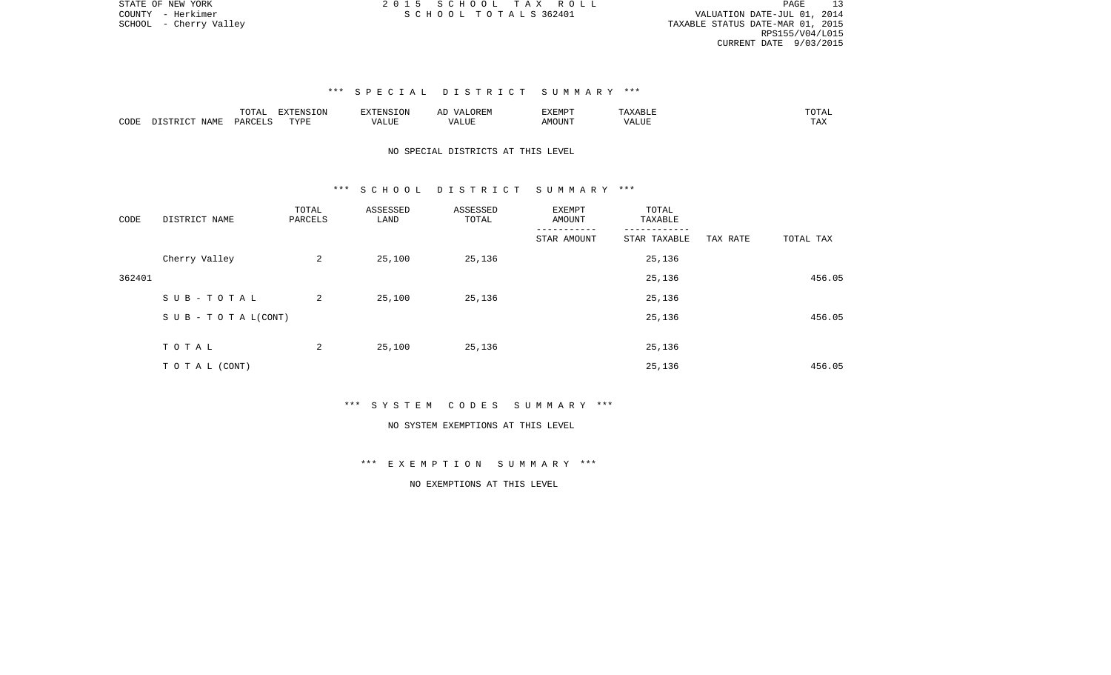VALUATION DATE-JUL 01, 2014 SCHOOL - Cherry Valley TAXABLE STATUS DATE-MAR 01, 2015 RPS155/V04/L015 CURRENT DATE 9/03/2015

## \*\*\* S P E C I A L D I S T R I C T S U M M A R Y \*\*\*

|      |                                      | mom <sub>n</sub><br>LVIAL | <b>EXTENSION</b> | $\n  75 75.7 70.7 70.77$ | ▵ | <b>EXEMPT</b> |                               | ----                   |
|------|--------------------------------------|---------------------------|------------------|--------------------------|---|---------------|-------------------------------|------------------------|
| CODE | NAME.<br>$T$ QTR $\in$<br>$T \cap T$ | PARCET 1                  | TVDL             |                          |   | AMOUNT        | <b>TRITITIO</b><br>. <i>.</i> | m <sub>n</sub><br>LT22 |

## NO SPECIAL DISTRICTS AT THIS LEVEL

#### \*\*\* S C H O O L D I S T R I C T S U M M A R Y \*\*\*

| CODE   | DISTRICT NAME                    | TOTAL<br>PARCELS | ASSESSED<br>LAND | ASSESSED<br>TOTAL | EXEMPT<br>AMOUNT | TOTAL<br>TAXABLE |          |           |
|--------|----------------------------------|------------------|------------------|-------------------|------------------|------------------|----------|-----------|
|        |                                  |                  |                  |                   | STAR AMOUNT      | STAR TAXABLE     | TAX RATE | TOTAL TAX |
|        | Cherry Valley                    | 2                | 25,100           | 25,136            |                  | 25,136           |          |           |
| 362401 |                                  |                  |                  |                   |                  | 25,136           |          | 456.05    |
|        | SUB-TOTAL                        | 2                | 25,100           | 25,136            |                  | 25,136           |          |           |
|        | $S \cup B - T \cup T A L (CONT)$ |                  |                  |                   |                  | 25,136           |          | 456.05    |
|        | TOTAL                            | 2                | 25,100           | 25,136            |                  | 25,136           |          |           |
|        |                                  |                  |                  |                   |                  |                  |          |           |
|        | TO TAL (CONT)                    |                  |                  |                   |                  | 25,136           |          | 456.05    |

\*\*\* S Y S T E M C O D E S S U M M A R Y \*\*\*

#### NO SYSTEM EXEMPTIONS AT THIS LEVEL

\*\*\* E X E M P T I O N S U M M A R Y \*\*\*